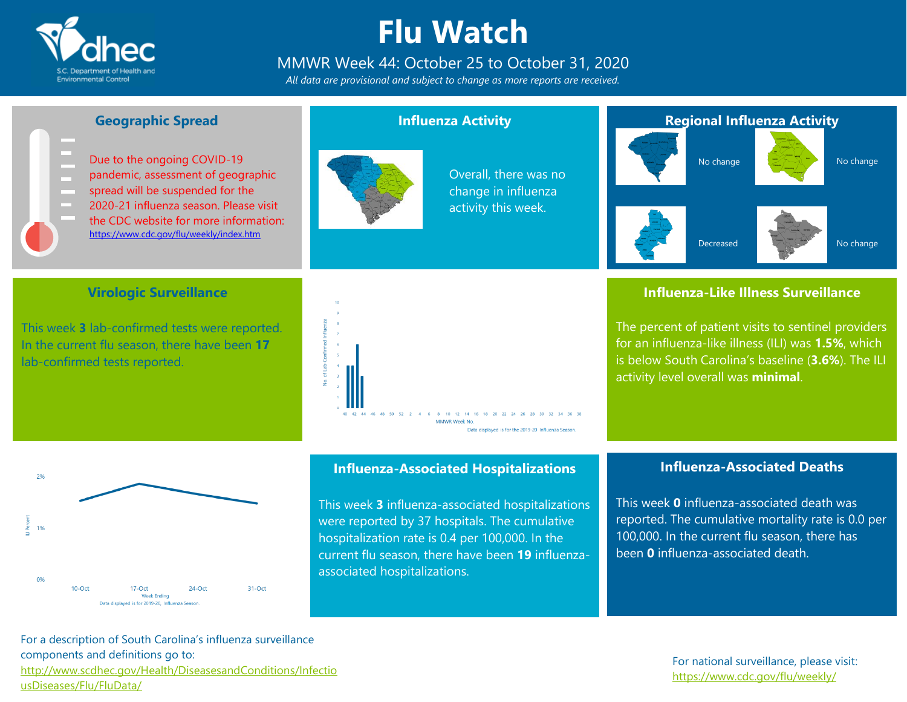

### **Flu Watch**

### MMWR Week 44: October 25 to October 31, 2020

*All data are provisional and subject to change as more reports are received.*



#### **Geographic Spread**

Due to the ongoing COVID-19 pandemic, assessment of geographic spread will be suspended for the 2020-21 influenza season. Please visit the CDC website for more information: <https://www.cdc.gov/flu/weekly/index.htm>

#### **Influenza Activity**



Overall, there was no change in influenza activity this week.

#### **Regional Influenza Activity**



No change





#### **Influenza-Like Illness Surveillance**

The percent of patient visits to sentinel providers for an influenza-like illness (ILI) was **1.5%**, which is below South Carolina's baseline (**3.6%**). The ILI activity level overall was **minimal**.



This week **3** lab-confirmed tests were reported. In the current flu season, there have been **17** lab-confirmed tests reported.





#### **Influenza-Associated Hospitalizations**

This week **3** influenza-associated hospitalizations were reported by 37 hospitals. The cumulative hospitalization rate is 0.4 per 100,000. In the current flu season, there have been **19** influenzaassociated hospitalizations.

#### **Influenza-Associated Deaths**

This week **0** influenza-associated death was reported. The cumulative mortality rate is 0.0 per 100,000. In the current flu season, there has been **0** influenza-associated death.

#### For a description of South Carolina's influenza surveillance components and definitions go to: [http://www.scdhec.gov/Health/DiseasesandConditions/Infectio](http://www.scdhec.gov/Health/DiseasesandConditions/InfectiousDiseases/Flu/FluData/) [usDiseases/Flu/FluData/](http://www.scdhec.gov/Health/DiseasesandConditions/InfectiousDiseases/Flu/FluData/)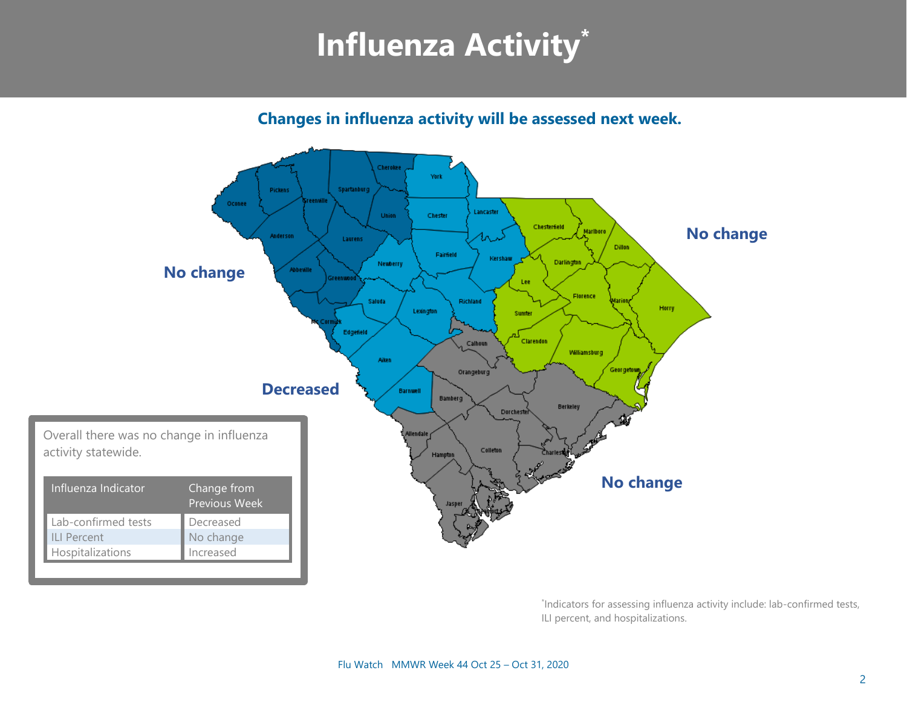## **Influenza Activity\***

**Changes in influenza activity will be assessed next week.** 



\* Indicators for assessing influenza activity include: lab-confirmed tests, ILI percent, and hospitalizations.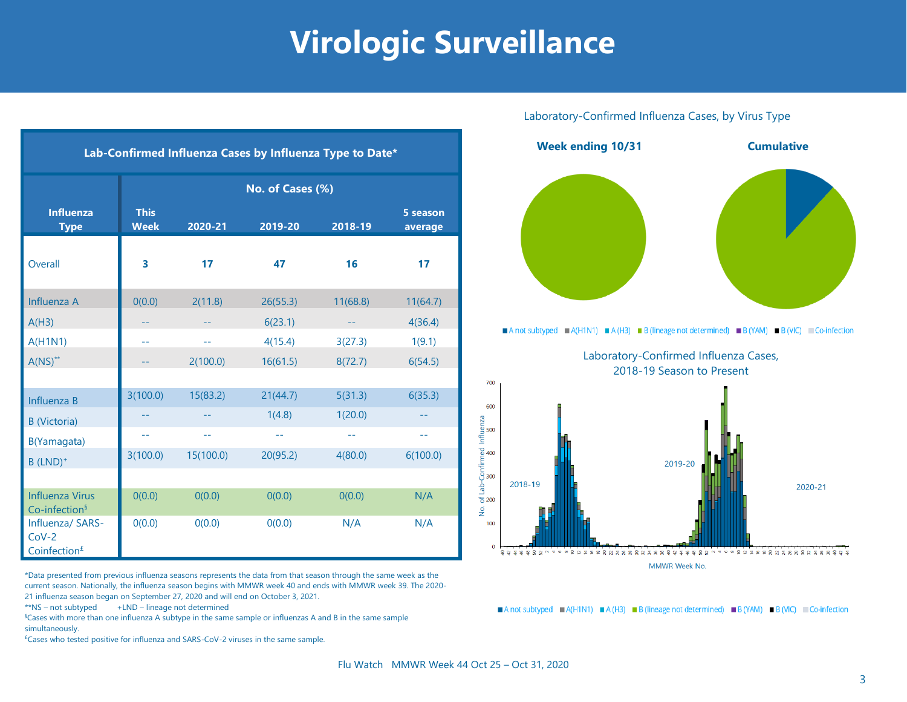### **Virologic Surveillance**

| Lab-Confirmed Influenza Cases by Influenza Type to Date* |                            |           |                          |                             |                     |  |  |
|----------------------------------------------------------|----------------------------|-----------|--------------------------|-----------------------------|---------------------|--|--|
|                                                          | No. of Cases (%)           |           |                          |                             |                     |  |  |
| <b>Influenza</b><br><b>Type</b>                          | <b>This</b><br><b>Week</b> | 2020-21   | 2019-20                  | 2018-19                     | 5 season<br>average |  |  |
| Overall                                                  | 3                          | 17        | 47                       | 16                          | 17                  |  |  |
| Influenza A                                              | 0(0.0)                     | 2(11.8)   | 26(55.3)                 | 11(68.8)                    | 11(64.7)            |  |  |
| A(H3)                                                    | --                         | --        | 6(23.1)                  | $\rightarrow$ $\rightarrow$ | 4(36.4)             |  |  |
| A(H1N1)                                                  | $\equiv$                   | 44        | 4(15.4)                  | 3(27.3)                     | 1(9.1)              |  |  |
| $A(NS)^{**}$                                             |                            | 2(100.0)  | 16(61.5)                 | 8(72.7)                     | 6(54.5)             |  |  |
|                                                          |                            |           |                          |                             |                     |  |  |
| Influenza B                                              | 3(100.0)                   | 15(83.2)  | 21(44.7)                 | 5(31.3)                     | 6(35.3)             |  |  |
| <b>B</b> (Victoria)                                      |                            |           | 1(4.8)                   | 1(20.0)                     | --                  |  |  |
| B(Yamagata)                                              | $- -$                      | $-$       | $\overline{\phantom{m}}$ | $\sim$ $-$                  | $-1$                |  |  |
| $B$ (LND) <sup>+</sup>                                   | 3(100.0)                   | 15(100.0) | 20(95.2)                 | 4(80.0)                     | 6(100.0)            |  |  |
|                                                          |                            |           |                          |                             |                     |  |  |
| <b>Influenza Virus</b><br>Co-infection <sup>§</sup>      | O(0.0)                     | 0(0.0)    | 0(0.0)                   | O(0.0)                      | N/A                 |  |  |
| Influenza/ SARS-<br>$Cov-2$<br>Coinfection <sup>£</sup>  | 0(0.0)                     | 0(0.0)    | 0(0.0)                   | N/A                         | N/A                 |  |  |

\*Data presented from previous influenza seasons represents the data from that season through the same week as the current season. Nationally, the influenza season begins with MMWR week 40 and ends with MMWR week 39. The 2020- 21 influenza season began on September 27, 2020 and will end on October 3, 2021.

\*\*NS – not subtyped +LND – lineage not determined

§Cases with more than one influenza A subtype in the same sample or influenzas A and B in the same sample simultaneously.

 $E$ Cases who tested positive for influenza and SARS-CoV-2 viruses in the same sample.

### Laboratory-Confirmed Influenza Cases, by Virus Type **Week ending 10/31 Cumulative** A not subtyped A(H1N1) A (H3) B (lineage not determined) B (YAM) B (VIC) Co-infection Laboratory-Confirmed Influenza Cases, 2018-19 Season to Present700 600 **DZI** Influenz of Lab-Confirmed I<br>ab 8<br>8<br>8 2019-20 2018-19 2020-21  $\frac{1}{2}$ 100 **MMWR Week No**

A not subtyped A(H1N1) A (H3) B (lineage not determined) B (YAM) B (VIC) Co-infection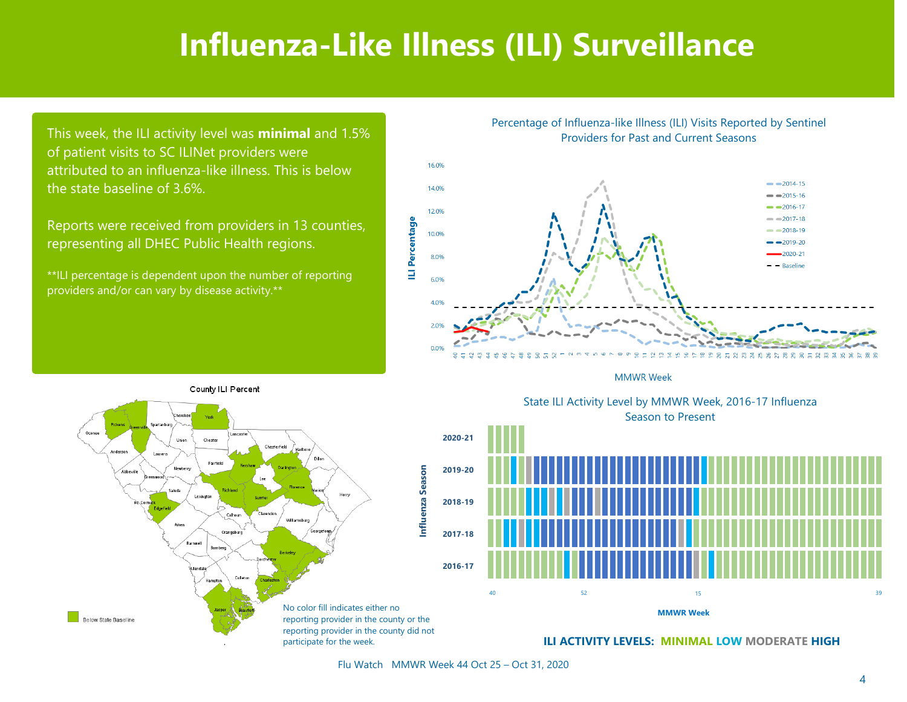### **Influenza-Like Illness (ILI) Surveillance**

This week, the ILI activity level was **minimal** and 1.5% of patient visits to SC ILINet providers were attributed to an influenza-like illness. This is below the state baseline of 3.6%.

Reports were received from providers in 13 counties, representing all DHEC Public Health regions.

\*\*ILI percentage is dependent upon the number of reporting providers and/or can vary by disease activity.\*\*

County ILI Percent

Percentage of Influenza-like Illness (ILI) Visits Reported by Sentinel Providers for Past and Current Seasons



**MMWR Week** 



State ILI Activity Level by MMWR Week, 2016-17 Influenza Season to Present State ILI Activity Level by MMWR Week, 2016-17 Influenza



Flu Watch MMWR Week 44 Oct 25 – Oct 31, 2020